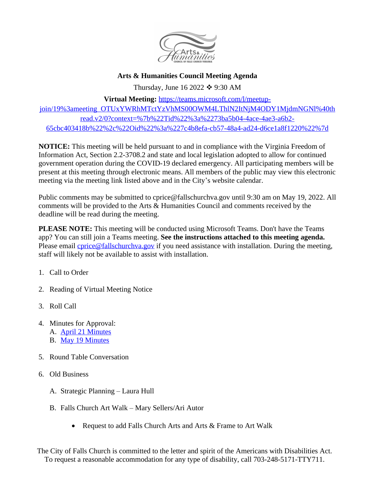

**Arts & Humanities Council Meeting Agenda**

Thursday, June 16 2022  $\div$  9:30 AM

**Virtual Meeting:** [https://teams.microsoft.com/l/meetup-](https://teams.microsoft.com/l/meetup-join/19%3ameeting_OTUxYWRhMTctYzVhMS00OWM4LThlN2ItNjM4ODY1MjdmNGNl%40thread.v2/0?context=%7b%22Tid%22%3a%2273ba5b04-4ace-4ae3-a6b2-65cbc403418b%22%2c%22Oid%22%3a%227c4b8efa-cb57-48a4-ad24-d6ce1a8f1220%22%7d)

join/19%3ameeting\_OTUxYWRhMTctYzVhMS00OWM4LThlN2ItNjM4ODY1MjdmNGNl%40th read.v2/0?context=%7b%22Tid%22%3a%2273ba5b04-4ace-4ae3-a6b2- 65cbc403418b%22%2c%22Oid%22%3a%227c4b8efa-cb57-48a4-ad24-d6ce1a8f1220%22%7d

**NOTICE:** This meeting will be held pursuant to and in compliance with the Virginia Freedom of Information Act, Section 2.2-3708.2 and state and local legislation adopted to allow for continued government operation during the COVID-19 declared emergency. All participating members will be present at this meeting through electronic means. All members of the public may view this electronic meeting via the meeting link listed above and in the City's website calendar.

Public comments may be submitted to cprice@fallschurchva.gov until 9:30 am on May 19, 2022. All comments will be provided to the Arts & Humanities Council and comments received by the deadline will be read during the meeting.

**PLEASE NOTE:** This meeting will be conducted using Microsoft Teams. Don't have the Teams app? You can still join a Teams meeting. **See the instructions attached to this meeting agenda.**  Please email *cprice@fallschurchva.gov* if you need assistance with installation. During the meeting, staff will likely not be available to assist with installation.

- 1. Call to Order
- 2. Reading of Virtual Meeting Notice
- 3. Roll Call
- 4. Minutes for Approval: A. [April 21 Minutes](https://www.fallschurchva.gov/AgendaCenter/ViewFile/Agenda/_04212022-2048) B. [May 19 Minutes](https://www.fallschurchva.gov/AgendaCenter/ViewFile/Minutes/_05192022-2068)
- 5. [Round Table Conversation](https://www.fallschurchva.gov/AgendaCenter/ViewFile/Minutes/_05192022-2068)
- 6. [Old Business](https://www.fallschurchva.gov/AgendaCenter/ViewFile/Minutes/_05192022-2068)
	- A. [Strategic Planning](https://www.fallschurchva.gov/AgendaCenter/ViewFile/Minutes/_05192022-2068)  Laura Hull
	- B. [Falls Church Art Walk](https://www.fallschurchva.gov/AgendaCenter/ViewFile/Minutes/_05192022-2068) – [Mary Sellers/Ari Autor](https://www.fallschurchva.gov/AgendaCenter/ViewFile/Minutes/_05192022-2068)
		- [Request to add Falls Church Arts and Arts & Frame to Art Walk](https://www.fallschurchva.gov/AgendaCenter/ViewFile/Minutes/_05192022-2068)

The City of Falls Church is committed to the letter and spirit of the Americans with Disabilities Act. To request a reasonable accommodation for any type of disability, call 703-248-5171-TTY711.